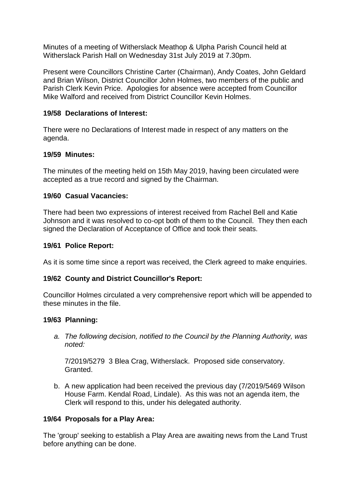Minutes of a meeting of Witherslack Meathop & Ulpha Parish Council held at Witherslack Parish Hall on Wednesday 31st July 2019 at 7.30pm.

Present were Councillors Christine Carter (Chairman), Andy Coates, John Geldard and Brian Wilson, District Councillor John Holmes, two members of the public and Parish Clerk Kevin Price. Apologies for absence were accepted from Councillor Mike Walford and received from District Councillor Kevin Holmes.

## **19/58 Declarations of Interest:**

There were no Declarations of Interest made in respect of any matters on the agenda.

#### **19/59 Minutes:**

The minutes of the meeting held on 15th May 2019, having been circulated were accepted as a true record and signed by the Chairman.

#### **19/60 Casual Vacancies:**

There had been two expressions of interest received from Rachel Bell and Katie Johnson and it was resolved to co-opt both of them to the Council. They then each signed the Declaration of Acceptance of Office and took their seats.

#### **19/61 Police Report:**

As it is some time since a report was received, the Clerk agreed to make enquiries.

## **19/62 County and District Councillor's Report:**

Councillor Holmes circulated a very comprehensive report which will be appended to these minutes in the file.

## **19/63 Planning:**

*a. The following decision, notified to the Council by the Planning Authority, was noted:*

7/2019/5279 3 Blea Crag, Witherslack. Proposed side conservatory. Granted.

b. A new application had been received the previous day (7/2019/5469 Wilson House Farm. Kendal Road, Lindale). As this was not an agenda item, the Clerk will respond to this, under his delegated authority.

## **19/64 Proposals for a Play Area:**

The 'group' seeking to establish a Play Area are awaiting news from the Land Trust before anything can be done.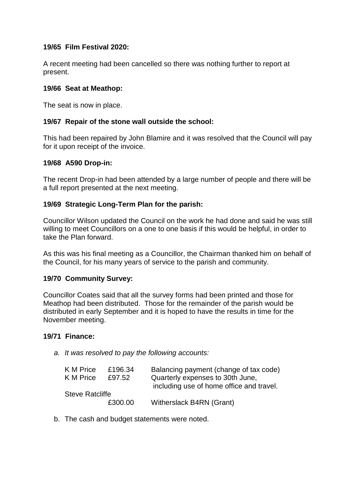# **19/65 Film Festival 2020:**

A recent meeting had been cancelled so there was nothing further to report at present.

## **19/66 Seat at Meathop:**

The seat is now in place.

## **19/67 Repair of the stone wall outside the school:**

This had been repaired by John Blamire and it was resolved that the Council will pay for it upon receipt of the invoice.

## **19/68 A590 Drop-in:**

The recent Drop-in had been attended by a large number of people and there will be a full report presented at the next meeting.

## **19/69 Strategic Long-Term Plan for the parish:**

Councillor Wilson updated the Council on the work he had done and said he was still willing to meet Councillors on a one to one basis if this would be helpful, in order to take the Plan forward.

As this was his final meeting as a Councillor, the Chairman thanked him on behalf of the Council, for his many years of service to the parish and community.

## **19/70 Community Survey:**

Councillor Coates said that all the survey forms had been printed and those for Meathop had been distributed. Those for the remainder of the parish would be distributed in early September and it is hoped to have the results in time for the November meeting.

#### **19/71 Finance:**

*a. It was resolved to pay the following accounts:*

| K M Price              | £196.34 | Balancing payment (change of tax code)   |
|------------------------|---------|------------------------------------------|
| K M Price              | £97.52  | Quarterly expenses to 30th June,         |
|                        |         | including use of home office and travel. |
| <b>Steve Ratcliffe</b> |         |                                          |
|                        | £300.00 | Witherslack B4RN (Grant)                 |

b. The cash and budget statements were noted.